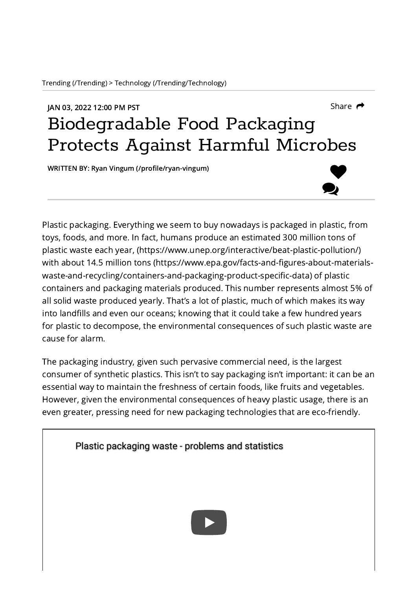## JAN 03, 2022 12:00 PM PST [Share](javascript:void(0))  $\rightarrow$  Share  $\rightarrow$ Biodegradable Food Packaging Protects Against Harmful Microbes

WRITTEN BY: Ryan Vingum [\(/profile/ryan-vingum\)](https://www.labroots.com/profile/ryan-vingum)



Plastic packaging. Everything we seem to buy nowadays is packaged in plastic, from toys, foods, and more. In fact, humans produce an estimated 300 million tons of plastic waste each year, [\(https://www.unep.org/interactive/beat-plastic-pollution/\)](https://www.unep.org/interactive/beat-plastic-pollution/) with about 14.5 million tons (https://www.epa.gov/facts-and-figures-about-materials[waste-and-recycling/containers-and-packaging-product-specific-data\)](https://www.epa.gov/facts-and-figures-about-materials-waste-and-recycling/containers-and-packaging-product-specific-data) of plastic containers and packaging materials produced. This number represents almost 5% of all solid waste produced yearly. That's a lot of plastic, much of which makes its way into landfills and even our oceans; knowing that it could take a few hundred years for plastic to decompose, the environmental consequences of such plastic waste are cause for alarm.

The packaging industry, given such pervasive commercial need, is the largest consumer of synthetic plastics. This isn't to say packaging isn't important: it can be an essential way to maintain the freshness of certain foods, like fruits and vegetables. However, given the environmental consequences of heavy plastic usage, there is an even greater, pressing need for new packaging technologies that are eco-friendly.